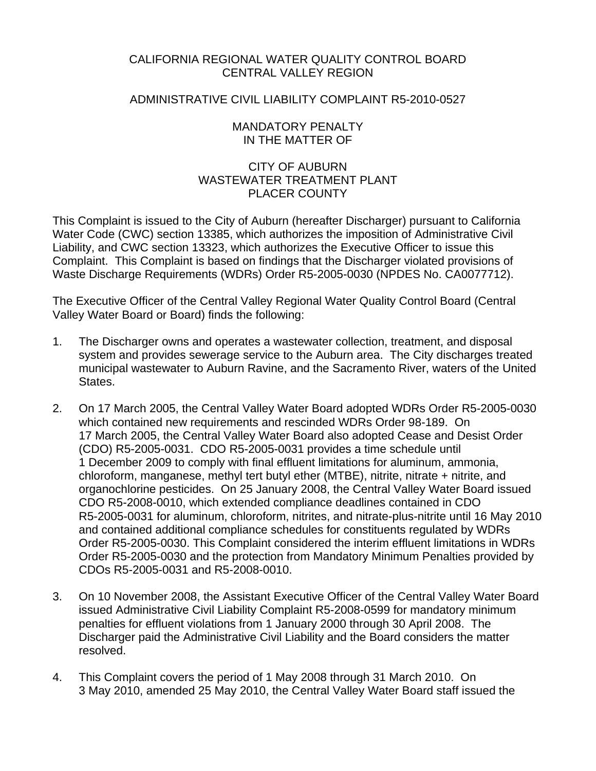## CALIFORNIA REGIONAL WATER QUALITY CONTROL BOARD CENTRAL VALLEY REGION

## ADMINISTRATIVE CIVIL LIABILITY COMPLAINT R5-2010-0527

## MANDATORY PENALTY IN THE MATTER OF

# CITY OF AUBURN WASTEWATER TREATMENT PLANT PLACER COUNTY

This Complaint is issued to the City of Auburn (hereafter Discharger) pursuant to California Water Code (CWC) section 13385, which authorizes the imposition of Administrative Civil Liability, and CWC section 13323, which authorizes the Executive Officer to issue this Complaint. This Complaint is based on findings that the Discharger violated provisions of Waste Discharge Requirements (WDRs) Order R5-2005-0030 (NPDES No. CA0077712).

The Executive Officer of the Central Valley Regional Water Quality Control Board (Central Valley Water Board or Board) finds the following:

- 1. The Discharger owns and operates a wastewater collection, treatment, and disposal system and provides sewerage service to the Auburn area. The City discharges treated municipal wastewater to Auburn Ravine, and the Sacramento River, waters of the United States.
- 2. On 17 March 2005, the Central Valley Water Board adopted WDRs Order R5-2005-0030 which contained new requirements and rescinded WDRs Order 98-189. On 17 March 2005, the Central Valley Water Board also adopted Cease and Desist Order (CDO) R5-2005-0031. CDO R5-2005-0031 provides a time schedule until 1 December 2009 to comply with final effluent limitations for aluminum, ammonia, chloroform, manganese, methyl tert butyl ether (MTBE), nitrite, nitrate + nitrite, and organochlorine pesticides. On 25 January 2008, the Central Valley Water Board issued CDO R5-2008-0010, which extended compliance deadlines contained in CDO R5-2005-0031 for aluminum, chloroform, nitrites, and nitrate-plus-nitrite until 16 May 2010 and contained additional compliance schedules for constituents regulated by WDRs Order R5-2005-0030. This Complaint considered the interim effluent limitations in WDRs Order R5-2005-0030 and the protection from Mandatory Minimum Penalties provided by CDOs R5-2005-0031 and R5-2008-0010.
- 3. On 10 November 2008, the Assistant Executive Officer of the Central Valley Water Board issued Administrative Civil Liability Complaint R5-2008-0599 for mandatory minimum penalties for effluent violations from 1 January 2000 through 30 April 2008. The Discharger paid the Administrative Civil Liability and the Board considers the matter resolved.
- 4. This Complaint covers the period of 1 May 2008 through 31 March 2010. On 3 May 2010, amended 25 May 2010, the Central Valley Water Board staff issued the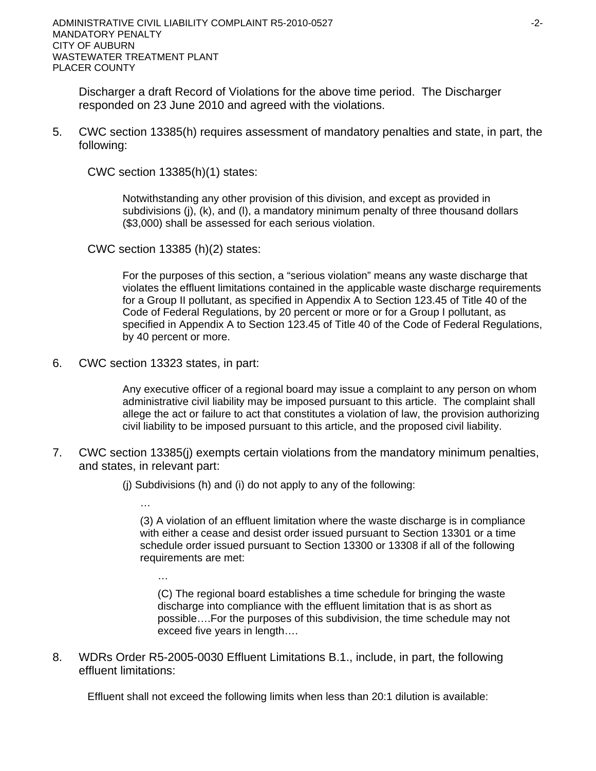Discharger a draft Record of Violations for the above time period. The Discharger responded on 23 June 2010 and agreed with the violations.

5. CWC section 13385(h) requires assessment of mandatory penalties and state, in part, the following:

CWC section 13385(h)(1) states:

Notwithstanding any other provision of this division, and except as provided in subdivisions (j), (k), and (l), a mandatory minimum penalty of three thousand dollars (\$3,000) shall be assessed for each serious violation.

CWC section 13385 (h)(2) states:

For the purposes of this section, a "serious violation" means any waste discharge that violates the effluent limitations contained in the applicable waste discharge requirements for a Group II pollutant, as specified in Appendix A to Section 123.45 of Title 40 of the Code of Federal Regulations, by 20 percent or more or for a Group I pollutant, as specified in Appendix A to Section 123.45 of Title 40 of the Code of Federal Regulations, by 40 percent or more.

6. CWC section 13323 states, in part:

Any executive officer of a regional board may issue a complaint to any person on whom administrative civil liability may be imposed pursuant to this article. The complaint shall allege the act or failure to act that constitutes a violation of law, the provision authorizing civil liability to be imposed pursuant to this article, and the proposed civil liability.

7. CWC section 13385(j) exempts certain violations from the mandatory minimum penalties, and states, in relevant part:

(j) Subdivisions (h) and (i) do not apply to any of the following:

…

(3) A violation of an effluent limitation where the waste discharge is in compliance with either a cease and desist order issued pursuant to Section 13301 or a time schedule order issued pursuant to Section 13300 or 13308 if all of the following requirements are met:

…

(C) The regional board establishes a time schedule for bringing the waste discharge into compliance with the effluent limitation that is as short as possible….For the purposes of this subdivision, the time schedule may not exceed five years in length….

8. WDRs Order R5-2005-0030 Effluent Limitations B.1., include, in part, the following effluent limitations:

Effluent shall not exceed the following limits when less than 20:1 dilution is available: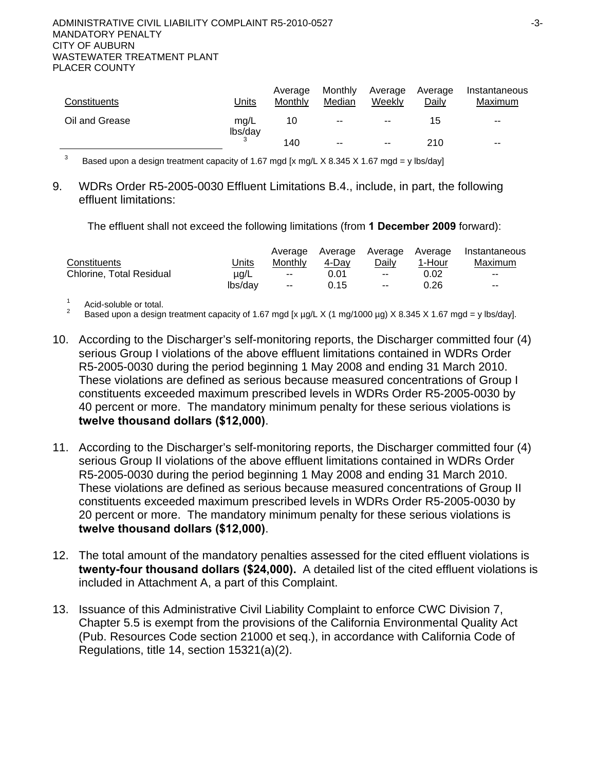| Constituents   | Units           | Average<br>Monthly | Monthly<br>Median        | Average<br>Weekly        | Average<br>Daily | Instantaneous<br>Maximum |
|----------------|-----------------|--------------------|--------------------------|--------------------------|------------------|--------------------------|
| Oil and Grease | mg/L<br>lbs/day | 10                 | $\sim$                   | $\overline{\phantom{a}}$ | 15               | $- -$                    |
|                |                 | 140                | $\overline{\phantom{a}}$ | $\sim$ $\sim$            | 210              | $\sim$ $\sim$            |

3 Based upon a design treatment capacity of 1.67 mgd [x mg/L X 8.345 X 1.67 mgd = y lbs/day]

9. WDRs Order R5-2005-0030 Effluent Limitations B.4., include, in part, the following effluent limitations:

The effluent shall not exceed the following limitations (from **1 December 2009** forward):

|                                 |           | Average       | Average Average |               | Average | Instantaneous            |
|---------------------------------|-----------|---------------|-----------------|---------------|---------|--------------------------|
| Constituents                    | Units     | Monthly       | 4-Dav           | Dailv         | 1-Hour  | Maximum                  |
| <b>Chlorine, Total Residual</b> | $\mu$ q/L | $\sim$ $\sim$ | 0.01            | $\sim$ $\sim$ | 0.02    | $\overline{\phantom{a}}$ |
|                                 | lbs/dav   | $\sim$ $\sim$ | 0.15            | $\sim$ $\sim$ | 0.26    | $\overline{\phantom{a}}$ |

1 Acid-soluble or total.

2 Based upon a design treatment capacity of 1.67 mgd [x µg/L X (1 mg/1000 µg) X 8.345 X 1.67 mgd = y lbs/day].

- 10. According to the Discharger's self-monitoring reports, the Discharger committed four (4) serious Group I violations of the above effluent limitations contained in WDRs Order R5-2005-0030 during the period beginning 1 May 2008 and ending 31 March 2010. These violations are defined as serious because measured concentrations of Group I constituents exceeded maximum prescribed levels in WDRs Order R5-2005-0030 by 40 percent or more. The mandatory minimum penalty for these serious violations is **twelve thousand dollars (\$12,000)**.
- 11. According to the Discharger's self-monitoring reports, the Discharger committed four (4) serious Group II violations of the above effluent limitations contained in WDRs Order R5-2005-0030 during the period beginning 1 May 2008 and ending 31 March 2010. These violations are defined as serious because measured concentrations of Group II constituents exceeded maximum prescribed levels in WDRs Order R5-2005-0030 by 20 percent or more. The mandatory minimum penalty for these serious violations is **twelve thousand dollars (\$12,000)**.
- 12. The total amount of the mandatory penalties assessed for the cited effluent violations is **twenty-four thousand dollars (\$24,000).** A detailed list of the cited effluent violations is included in Attachment A, a part of this Complaint.
- 13. Issuance of this Administrative Civil Liability Complaint to enforce CWC Division 7, Chapter 5.5 is exempt from the provisions of the California Environmental Quality Act (Pub. Resources Code section 21000 et seq.), in accordance with California Code of Regulations, title 14, section 15321(a)(2).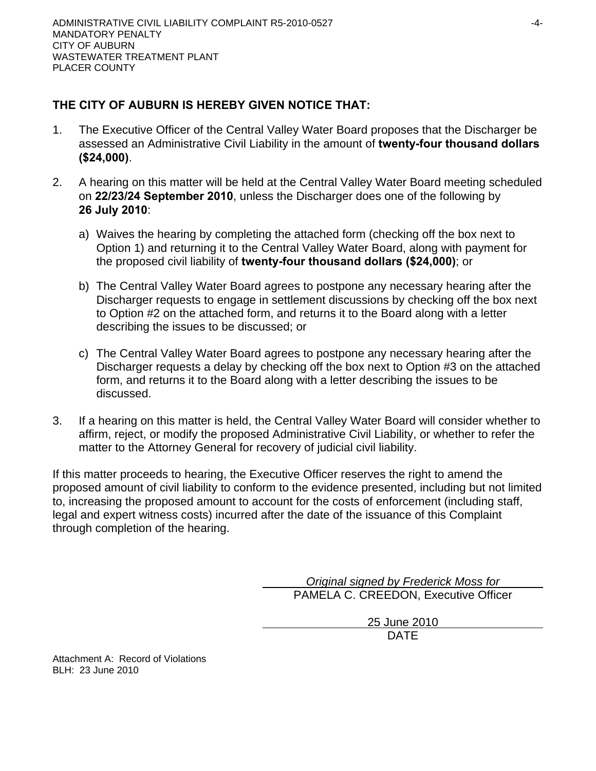# **THE CITY OF AUBURN IS HEREBY GIVEN NOTICE THAT:**

- 1. The Executive Officer of the Central Valley Water Board proposes that the Discharger be assessed an Administrative Civil Liability in the amount of **twenty-four thousand dollars (\$24,000)**.
- 2. A hearing on this matter will be held at the Central Valley Water Board meeting scheduled on **22/23/24 September 2010**, unless the Discharger does one of the following by **26 July 2010**:
	- a) Waives the hearing by completing the attached form (checking off the box next to Option 1) and returning it to the Central Valley Water Board, along with payment for the proposed civil liability of **twenty-four thousand dollars (\$24,000)**; or
	- b) The Central Valley Water Board agrees to postpone any necessary hearing after the Discharger requests to engage in settlement discussions by checking off the box next to Option #2 on the attached form, and returns it to the Board along with a letter describing the issues to be discussed; or
	- c) The Central Valley Water Board agrees to postpone any necessary hearing after the Discharger requests a delay by checking off the box next to Option #3 on the attached form, and returns it to the Board along with a letter describing the issues to be discussed.
- 3. If a hearing on this matter is held, the Central Valley Water Board will consider whether to affirm, reject, or modify the proposed Administrative Civil Liability, or whether to refer the matter to the Attorney General for recovery of judicial civil liability.

If this matter proceeds to hearing, the Executive Officer reserves the right to amend the proposed amount of civil liability to conform to the evidence presented, including but not limited to, increasing the proposed amount to account for the costs of enforcement (including staff, legal and expert witness costs) incurred after the date of the issuance of this Complaint through completion of the hearing.

> *Original signed by Frederick Moss for*  PAMELA C. CREEDON, Executive Officer

> > 25 June 2010 DATE

Attachment A: Record of Violations BLH: 23 June 2010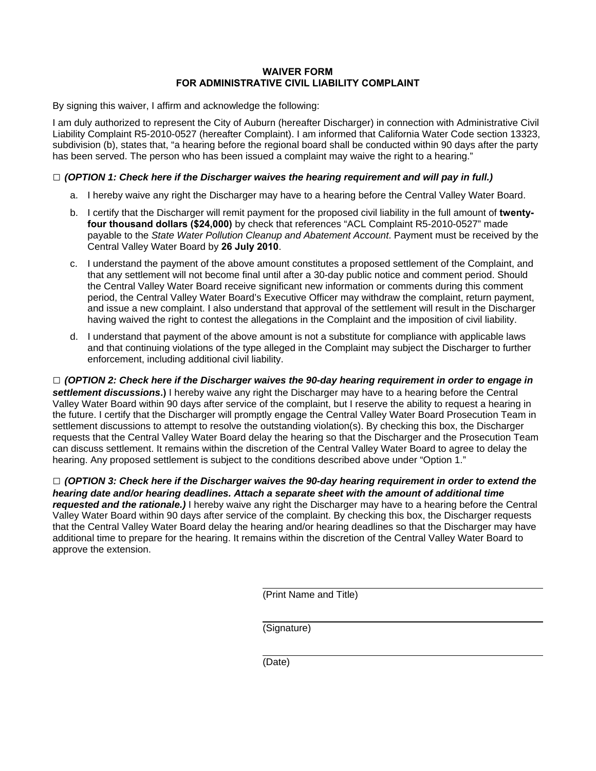### **WAIVER FORM FOR ADMINISTRATIVE CIVIL LIABILITY COMPLAINT**

By signing this waiver, I affirm and acknowledge the following:

I am duly authorized to represent the City of Auburn (hereafter Discharger) in connection with Administrative Civil Liability Complaint R5-2010-0527 (hereafter Complaint). I am informed that California Water Code section 13323, subdivision (b), states that, "a hearing before the regional board shall be conducted within 90 days after the party has been served. The person who has been issued a complaint may waive the right to a hearing."

### **□** *(OPTION 1: Check here if the Discharger waives the hearing requirement and will pay in full.)*

- a. I hereby waive any right the Discharger may have to a hearing before the Central Valley Water Board.
- b. I certify that the Discharger will remit payment for the proposed civil liability in the full amount of **twentyfour thousand dollars (\$24,000)** by check that references "ACL Complaint R5-2010-0527" made payable to the *State Water Pollution Cleanup and Abatement Account*. Payment must be received by the Central Valley Water Board by **26 July 2010**.
- c. I understand the payment of the above amount constitutes a proposed settlement of the Complaint, and that any settlement will not become final until after a 30-day public notice and comment period. Should the Central Valley Water Board receive significant new information or comments during this comment period, the Central Valley Water Board's Executive Officer may withdraw the complaint, return payment, and issue a new complaint. I also understand that approval of the settlement will result in the Discharger having waived the right to contest the allegations in the Complaint and the imposition of civil liability.
- d. I understand that payment of the above amount is not a substitute for compliance with applicable laws and that continuing violations of the type alleged in the Complaint may subject the Discharger to further enforcement, including additional civil liability.

**□** *(OPTION 2: Check here if the Discharger waives the 90-day hearing requirement in order to engage in settlement discussions***.)** I hereby waive any right the Discharger may have to a hearing before the Central Valley Water Board within 90 days after service of the complaint, but I reserve the ability to request a hearing in the future. I certify that the Discharger will promptly engage the Central Valley Water Board Prosecution Team in settlement discussions to attempt to resolve the outstanding violation(s). By checking this box, the Discharger requests that the Central Valley Water Board delay the hearing so that the Discharger and the Prosecution Team can discuss settlement. It remains within the discretion of the Central Valley Water Board to agree to delay the hearing. Any proposed settlement is subject to the conditions described above under "Option 1."

**□** *(OPTION 3: Check here if the Discharger waives the 90-day hearing requirement in order to extend the hearing date and/or hearing deadlines. Attach a separate sheet with the amount of additional time requested and the rationale.)* I hereby waive any right the Discharger may have to a hearing before the Central Valley Water Board within 90 days after service of the complaint. By checking this box, the Discharger requests that the Central Valley Water Board delay the hearing and/or hearing deadlines so that the Discharger may have additional time to prepare for the hearing. It remains within the discretion of the Central Valley Water Board to approve the extension.

(Print Name and Title)

(Signature)

(Date)